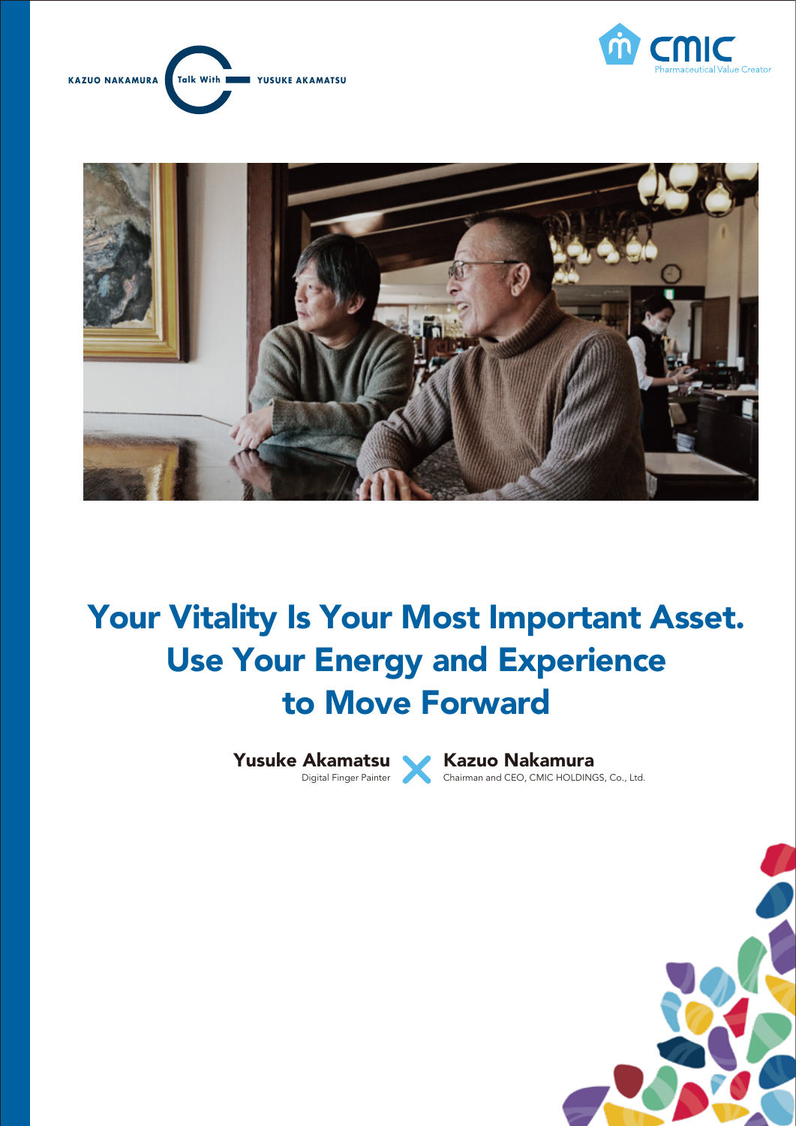





# Your Vitality Is Your Most Important Asset. Use Your Energy and Experience to Move Forward



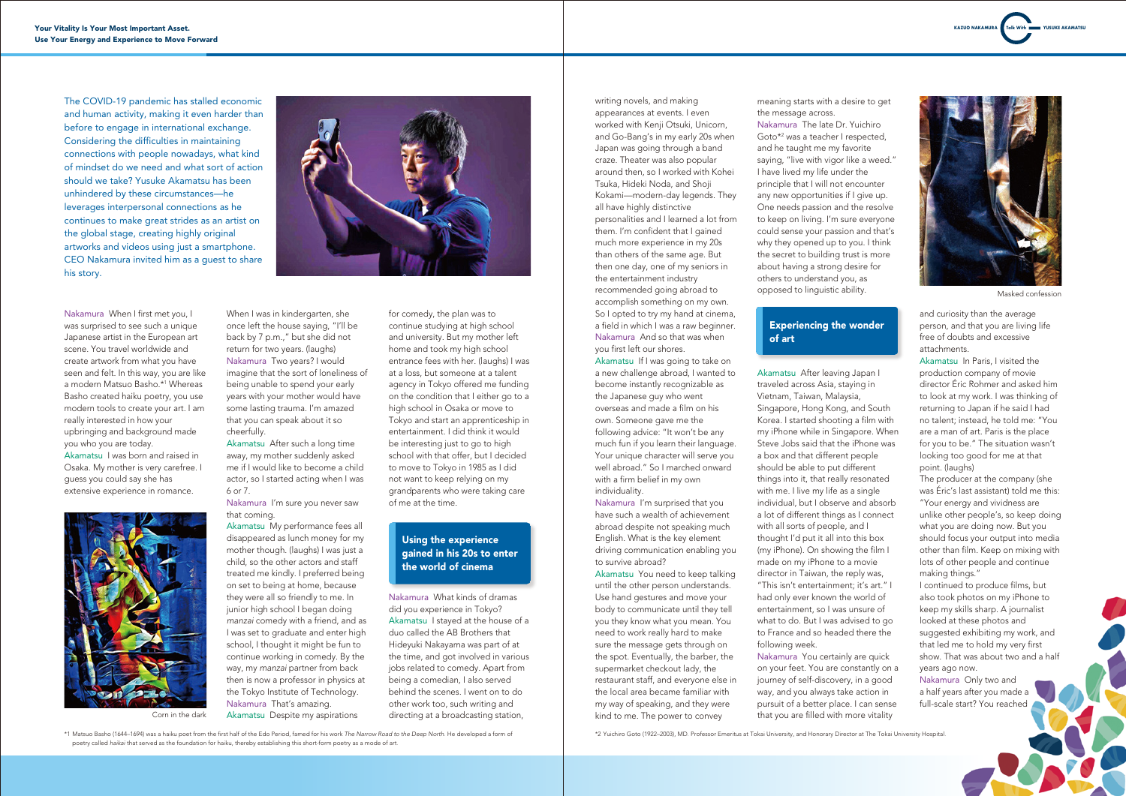

Masked confession



Corn in the dark

Nakamura When I first met you, I was surprised to see such a unique Japanese artist in the European art scene. You travel worldwide and create artwork from what you have seen and felt. In this way, you are like a modern Matsuo Basho.\*1 Whereas Basho created haiku poetry, you use modern tools to create your art. I am really interested in how your upbringing and background made you who you are today. Akamatsu I was born and raised in

Osaka. My mother is very carefree. I guess you could say she has extensive experience in romance.

When I was in kindergarten, she once left the house saying, "I'll be back by 7 p.m.," but she did not return for two years. (laughs) Nakamura Two years? I would imagine that the sort of loneliness of being unable to spend your early years with your mother would have some lasting trauma. I'm amazed that you can speak about it so cheerfully.

Akamatsu After such a long time away, my mother suddenly asked me if I would like to become a child actor, so I started acting when I was 6 or 7.

Nakamura I'm sure you never saw that coming.

Akamatsu My performance fees all disappeared as lunch money for my mother though. (laughs) I was just a child, so the other actors and staff treated me kindly. I preferred being on set to being at home, because they were all so friendly to me. In junior high school I began doing *manzai* comedy with a friend, and as I was set to graduate and enter high school, I thought it might be fun to continue working in comedy. By the way, my *manzai* partner from back then is now a professor in physics at the Tokyo Institute of Technology. Nakamura That's amazing. Akamatsu Despite my aspirations

for comedy, the plan was to continue studying at high school and university. But my mother left home and took my high school entrance fees with her. (laughs) I was at a loss, but someone at a talent agency in Tokyo offered me funding on the condition that I either go to a high school in Osaka or move to Tokyo and start an apprenticeship in entertainment. I did think it would be interesting just to go to high school with that offer, but I decided to move to Tokyo in 1985 as I did not want to keep relying on my grandparents who were taking care of me at the time.

Nakamura What kinds of dramas did you experience in Tokyo? Akamatsu I stayed at the house of a duo called the AB Brothers that Hideyuki Nakayama was part of at the time, and got involved in various jobs related to comedy. Apart from being a comedian, I also served behind the scenes. I went on to do other work too, such writing and directing at a broadcasting station,

writing novels, and making appearances at events. I even worked with Kenii Otsuki, Unicorn, and Go-Bang's in my early 20s when Japan was going through a band craze. Theater was also popular around then, so I worked with Kohei Tsuka, Hideki Noda, and Shoji Kokami—modern-day legends. They all have highly distinctive personalities and I learned a lot from them. I'm confident that I gained much more experience in my 20s than others of the same age. But then one day, one of my seniors in the entertainment industry recommended going abroad to accomplish something on my own. So I opted to try my hand at cinema, a field in which I was a raw beginner. Nakamura And so that was when you first left our shores.

Akamatsu If I was going to take on a new challenge abroad, I wanted to become instantly recognizable as the Japanese guy who went overseas and made a film on his own. Someone gave me the following advice: "It won't be any much fun if you learn their language. Your unique character will serve you well abroad." So I marched onward with a firm belief in my own individuality.

Nakamura I'm surprised that you have such a wealth of achievement abroad despite not speaking much English. What is the key element driving communication enabling you to survive abroad?

Akamatsu You need to keep talking until the other person understands. Use hand gestures and move your body to communicate until they tell you they know what you mean. You need to work really hard to make sure the message gets through on the spot. Eventually, the barber, the supermarket checkout lady, the restaurant staff, and everyone else in the local area became familiar with my way of speaking, and they were kind to me. The power to convey

meaning starts with a desire to get the message across.

Nakamura The late Dr. Yuichiro Goto\*2 was a teacher I respected, and he taught me my favorite saying, "live with vigor like a weed." I have lived my life under the principle that I will not encounter any new opportunities if I give up. One needs passion and the resolve to keep on living. I'm sure everyone could sense your passion and that's why they opened up to you. I think the secret to building trust is more about having a strong desire for others to understand you, as opposed to linguistic ability.

Akamatsu After leaving Japan I traveled across Asia, staying in Vietnam, Taiwan, Malaysia, Singapore, Hong Kong, and South Korea. I started shooting a film with my iPhone while in Singapore. When Steve Jobs said that the iPhone was a box and that different people should be able to put different things into it, that really resonated with me. I live my life as a single individual, but I observe and absorb a lot of different things as I connect with all sorts of people, and I thought I'd put it all into this box (my iPhone). On showing the film I made on my iPhone to a movie director in Taiwan, the reply was, "This isn't entertainment; it's art." I had only ever known the world of entertainment, so I was unsure of what to do. But I was advised to go to France and so headed there the following week.

Nakamura You certainly are quick on your feet. You are constantly on a journey of self-discovery, in a good way, and you always take action in pursuit of a better place. I can sense that you are filled with more vitality

and curiosity than the average person, and that you are living life free of doubts and excessive attachments.

Akamatsu In Paris, I visited the production company of movie director Éric Rohmer and asked him to look at my work. I was thinking of returning to Japan if he said I had no talent; instead, he told me: "You are a man of art. Paris is the place for you to be." The situation wasn't looking too good for me at that point. (laughs)

The producer at the company (she was Éric's last assistant) told me this: "Your energy and vividness are unlike other people's, so keep doing what you are doing now. But you should focus your output into media other than film. Keep on mixing with lots of other people and continue making things."

I continued to produce films, but also took photos on my iPhone to keep my skills sharp. A journalist looked at these photos and suggested exhibiting my work, and that led me to hold my very first show. That was about two and a half years ago now.

Nakamura Only two and a half years after you made a full-scale start? You reached

#### Using the experience gained in his 20s to enter the world of cinema

The COVID-19 pandemic has stalled economic and human activity, making it even harder than before to engage in international exchange. Considering the difficulties in maintaining connections with people nowadays, what kind of mindset do we need and what sort of action should we take? Yusuke Akamatsu has been unhindered by these circumstances—he leverages interpersonal connections as he continues to make great strides as an artist on the global stage, creating highly original artworks and videos using just a smartphone. CEO Nakamura invited him as a guest to share his story.



# Experiencing the wonder of art

\*1 Matsuo Basho (1644–1694) was a haiku poet from the first half of the Edo Period, famed for his work *The Narrow Road to the Deep North*. He developed a form of poetry called *haikai* that served as the foundation for haiku, thereby establishing this short-form poetry as a mode of art.

\*2 Yuichiro Goto (1922–2003), MD. Professor Emeritus at Tokai University, and Honorary Director at The Tokai University Hospital.